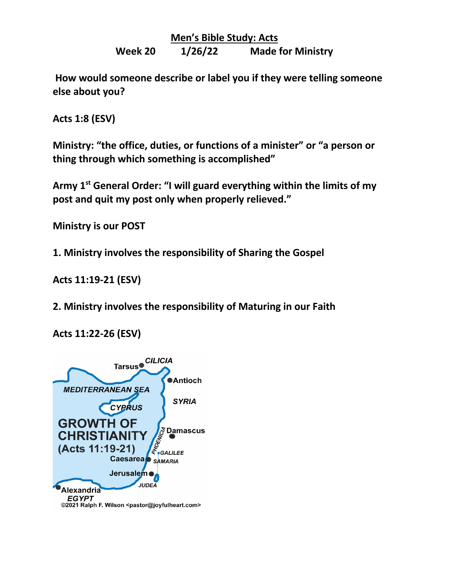**Men's Bible Study: Acts**

**Week 20 1/26/22 Made for Ministry**

**How would someone describe or label you if they were telling someone else about you?**

**Acts 1:8 (ESV)**

**Ministry: "the office, duties, or functions of a minister" or "a person or thing through which something is accomplished"**

**Army 1st General Order: "I will guard everything within the limits of my post and quit my post only when properly relieved."**

**Ministry is our POST** 

**1. Ministry involves the responsibility of Sharing the Gospel**

**Acts 11:19-21 (ESV)**

**2. Ministry involves the responsibility of Maturing in our Faith**

**Acts 11:22-26 (ESV)**